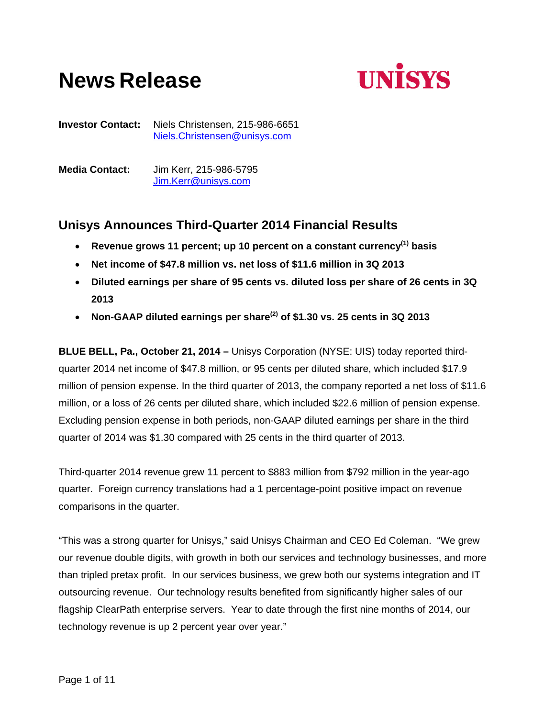# **News Release**



**Investor Contact:** Niels Christensen, 215-986-6651 Niels.Christensen@unisys.com

**Media Contact:** Jim Kerr, 215-986-5795 Jim.Kerr@unisys.com

# **Unisys Announces Third-Quarter 2014 Financial Results**

- **Revenue grows 11 percent; up 10 percent on a constant currency(1) basis**
- **Net income of \$47.8 million vs. net loss of \$11.6 million in 3Q 2013**
- **Diluted earnings per share of 95 cents vs. diluted loss per share of 26 cents in 3Q 2013**
- **Non-GAAP diluted earnings per share(2) of \$1.30 vs. 25 cents in 3Q 2013**

**BLUE BELL, Pa., October 21, 2014 –** Unisys Corporation (NYSE: UIS) today reported thirdquarter 2014 net income of \$47.8 million, or 95 cents per diluted share, which included \$17.9 million of pension expense. In the third quarter of 2013, the company reported a net loss of \$11.6 million, or a loss of 26 cents per diluted share, which included \$22.6 million of pension expense. Excluding pension expense in both periods, non-GAAP diluted earnings per share in the third quarter of 2014 was \$1.30 compared with 25 cents in the third quarter of 2013.

Third-quarter 2014 revenue grew 11 percent to \$883 million from \$792 million in the year-ago quarter. Foreign currency translations had a 1 percentage-point positive impact on revenue comparisons in the quarter.

"This was a strong quarter for Unisys," said Unisys Chairman and CEO Ed Coleman. "We grew our revenue double digits, with growth in both our services and technology businesses, and more than tripled pretax profit. In our services business, we grew both our systems integration and IT outsourcing revenue. Our technology results benefited from significantly higher sales of our flagship ClearPath enterprise servers. Year to date through the first nine months of 2014, our technology revenue is up 2 percent year over year."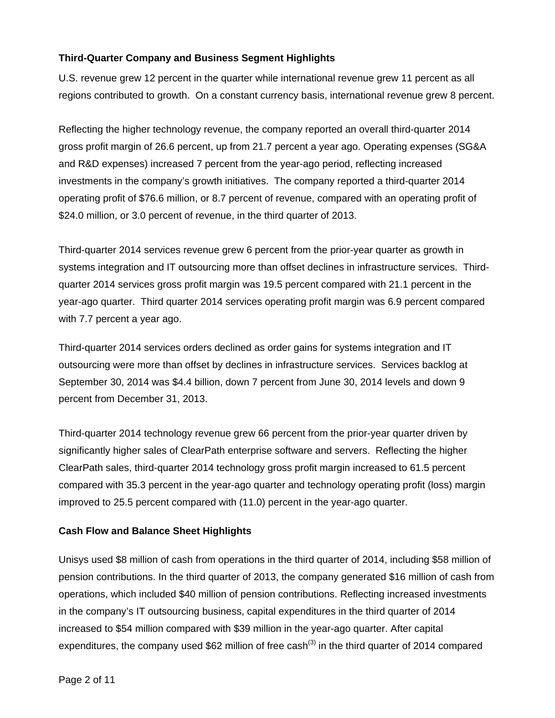# **Third-Quarter Company and Business Segment Highlights**

U.S. revenue grew 12 percent in the quarter while international revenue grew 11 percent as all regions contributed to growth. On a constant currency basis, international revenue grew 8 percent.

Reflecting the higher technology revenue, the company reported an overall third-quarter 2014 gross profit margin of 26.6 percent, up from 21.7 percent a year ago. Operating expenses (SG&A and R&D expenses) increased 7 percent from the year-ago period, reflecting increased investments in the company's growth initiatives. The company reported a third-quarter 2014 operating profit of \$76.6 million, or 8.7 percent of revenue, compared with an operating profit of \$24.0 million, or 3.0 percent of revenue, in the third quarter of 2013.

Third-quarter 2014 services revenue grew 6 percent from the prior-year quarter as growth in systems integration and IT outsourcing more than offset declines in infrastructure services. Thirdquarter 2014 services gross profit margin was 19.5 percent compared with 21.1 percent in the year-ago quarter. Third quarter 2014 services operating profit margin was 6.9 percent compared with 7.7 percent a year ago.

Third-quarter 2014 services orders declined as order gains for systems integration and IT outsourcing were more than offset by declines in infrastructure services. Services backlog at September 30, 2014 was \$4.4 billion, down 7 percent from June 30, 2014 levels and down 9 percent from December 31, 2013.

Third-quarter 2014 technology revenue grew 66 percent from the prior-year quarter driven by significantly higher sales of ClearPath enterprise software and servers. Reflecting the higher ClearPath sales, third-quarter 2014 technology gross profit margin increased to 61.5 percent compared with 35.3 percent in the year-ago quarter and technology operating profit (loss) margin improved to 25.5 percent compared with (11.0) percent in the year-ago quarter.

## **Cash Flow and Balance Sheet Highlights**

Unisys used \$8 million of cash from operations in the third quarter of 2014, including \$58 million of pension contributions. In the third quarter of 2013, the company generated \$16 million of cash from operations, which included \$40 million of pension contributions. Reflecting increased investments in the company's IT outsourcing business, capital expenditures in the third quarter of 2014 increased to \$54 million compared with \$39 million in the year-ago quarter. After capital expenditures, the company used \$62 million of free cash<sup>(3)</sup> in the third quarter of 2014 compared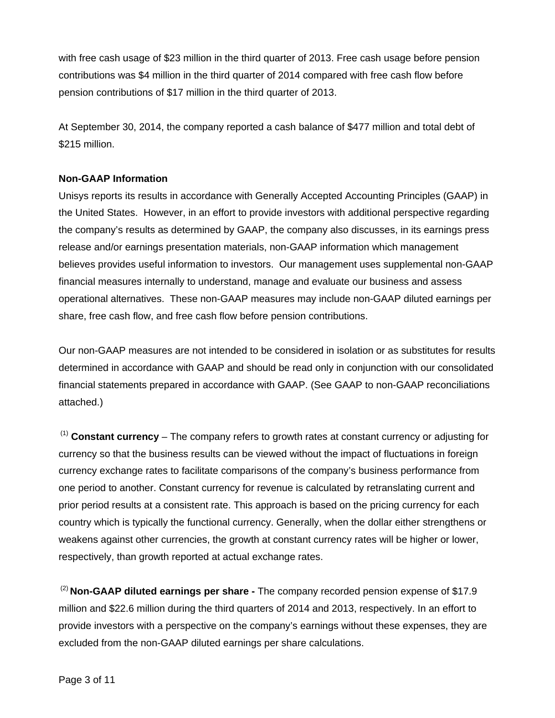with free cash usage of \$23 million in the third quarter of 2013. Free cash usage before pension contributions was \$4 million in the third quarter of 2014 compared with free cash flow before pension contributions of \$17 million in the third quarter of 2013.

At September 30, 2014, the company reported a cash balance of \$477 million and total debt of \$215 million.

## **Non-GAAP Information**

Unisys reports its results in accordance with Generally Accepted Accounting Principles (GAAP) in the United States. However, in an effort to provide investors with additional perspective regarding the company's results as determined by GAAP, the company also discusses, in its earnings press release and/or earnings presentation materials, non-GAAP information which management believes provides useful information to investors. Our management uses supplemental non-GAAP financial measures internally to understand, manage and evaluate our business and assess operational alternatives. These non-GAAP measures may include non-GAAP diluted earnings per share, free cash flow, and free cash flow before pension contributions.

Our non-GAAP measures are not intended to be considered in isolation or as substitutes for results determined in accordance with GAAP and should be read only in conjunction with our consolidated financial statements prepared in accordance with GAAP. (See GAAP to non-GAAP reconciliations attached.)

 (1) **Constant currency** – The company refers to growth rates at constant currency or adjusting for currency so that the business results can be viewed without the impact of fluctuations in foreign currency exchange rates to facilitate comparisons of the company's business performance from one period to another. Constant currency for revenue is calculated by retranslating current and prior period results at a consistent rate. This approach is based on the pricing currency for each country which is typically the functional currency. Generally, when the dollar either strengthens or weakens against other currencies, the growth at constant currency rates will be higher or lower, respectively, than growth reported at actual exchange rates.

 (2) **Non-GAAP diluted earnings per share -** The company recorded pension expense of \$17.9 million and \$22.6 million during the third quarters of 2014 and 2013, respectively. In an effort to provide investors with a perspective on the company's earnings without these expenses, they are excluded from the non-GAAP diluted earnings per share calculations.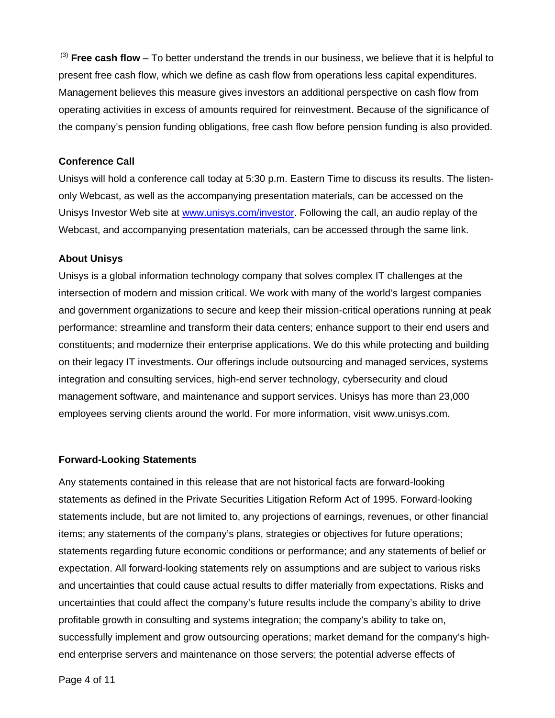(3) **Free cash flow** – To better understand the trends in our business, we believe that it is helpful to present free cash flow, which we define as cash flow from operations less capital expenditures. Management believes this measure gives investors an additional perspective on cash flow from operating activities in excess of amounts required for reinvestment. Because of the significance of the company's pension funding obligations, free cash flow before pension funding is also provided.

#### **Conference Call**

Unisys will hold a conference call today at 5:30 p.m. Eastern Time to discuss its results. The listenonly Webcast, as well as the accompanying presentation materials, can be accessed on the Unisys Investor Web site at www.unisys.com/investor. Following the call, an audio replay of the Webcast, and accompanying presentation materials, can be accessed through the same link.

#### **About Unisys**

Unisys is a global information technology company that solves complex IT challenges at the intersection of modern and mission critical. We work with many of the world's largest companies and government organizations to secure and keep their mission-critical operations running at peak performance; streamline and transform their data centers; enhance support to their end users and constituents; and modernize their enterprise applications. We do this while protecting and building on their legacy IT investments. Our offerings include outsourcing and managed services, systems integration and consulting services, high-end server technology, cybersecurity and cloud management software, and maintenance and support services. Unisys has more than 23,000 employees serving clients around the world. For more information, visit www.unisys.com.

#### **Forward-Looking Statements**

Any statements contained in this release that are not historical facts are forward-looking statements as defined in the Private Securities Litigation Reform Act of 1995. Forward-looking statements include, but are not limited to, any projections of earnings, revenues, or other financial items; any statements of the company's plans, strategies or objectives for future operations; statements regarding future economic conditions or performance; and any statements of belief or expectation. All forward-looking statements rely on assumptions and are subject to various risks and uncertainties that could cause actual results to differ materially from expectations. Risks and uncertainties that could affect the company's future results include the company's ability to drive profitable growth in consulting and systems integration; the company's ability to take on, successfully implement and grow outsourcing operations; market demand for the company's highend enterprise servers and maintenance on those servers; the potential adverse effects of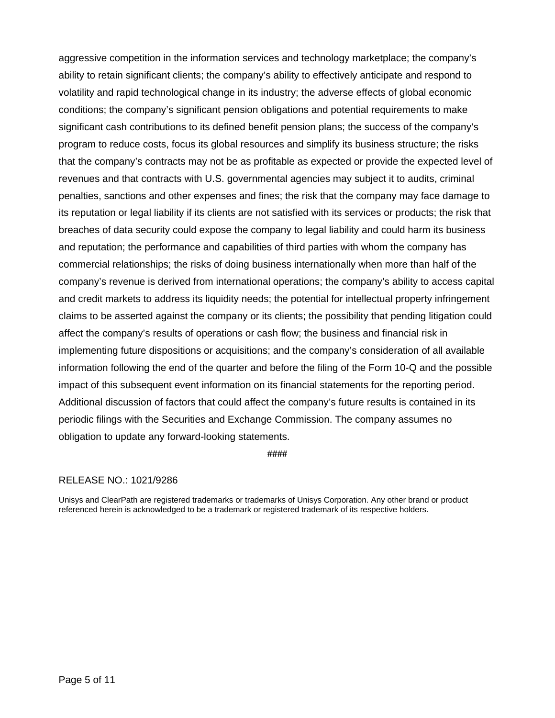aggressive competition in the information services and technology marketplace; the company's ability to retain significant clients; the company's ability to effectively anticipate and respond to volatility and rapid technological change in its industry; the adverse effects of global economic conditions; the company's significant pension obligations and potential requirements to make significant cash contributions to its defined benefit pension plans; the success of the company's program to reduce costs, focus its global resources and simplify its business structure; the risks that the company's contracts may not be as profitable as expected or provide the expected level of revenues and that contracts with U.S. governmental agencies may subject it to audits, criminal penalties, sanctions and other expenses and fines; the risk that the company may face damage to its reputation or legal liability if its clients are not satisfied with its services or products; the risk that breaches of data security could expose the company to legal liability and could harm its business and reputation; the performance and capabilities of third parties with whom the company has commercial relationships; the risks of doing business internationally when more than half of the company's revenue is derived from international operations; the company's ability to access capital and credit markets to address its liquidity needs; the potential for intellectual property infringement claims to be asserted against the company or its clients; the possibility that pending litigation could affect the company's results of operations or cash flow; the business and financial risk in implementing future dispositions or acquisitions; and the company's consideration of all available information following the end of the quarter and before the filing of the Form 10-Q and the possible impact of this subsequent event information on its financial statements for the reporting period. Additional discussion of factors that could affect the company's future results is contained in its periodic filings with the Securities and Exchange Commission. The company assumes no obligation to update any forward-looking statements.

**####** 

#### RELEASE NO.: 1021/9286

Unisys and ClearPath are registered trademarks or trademarks of Unisys Corporation. Any other brand or product referenced herein is acknowledged to be a trademark or registered trademark of its respective holders.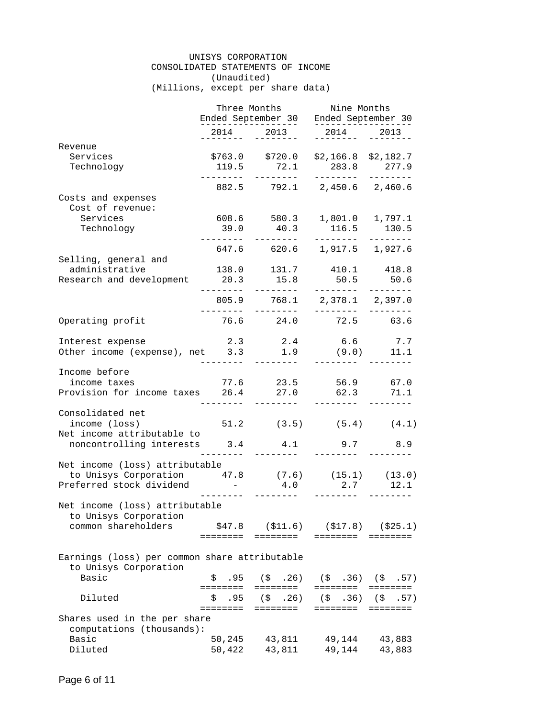#### UNISYS CORPORATION CONSOLIDATED STATEMENTS OF INCOME (Unaudited) (Millions, except per share data)

Three Months Nine Months Ended September 30 Ended September 30 ------------------ ------------------  $-2014$   $-2013$   $-2014$   $-2013$ Revenue Services \$763.0 \$720.0 \$2,166.8 \$2,182.7 Technology 119.5 72.1 283.8 277.9 -------- -------- -------- -------- 882.5 792.1 2,450.6 2,460.6 Costs and expenses Cost of revenue: Services 608.6 580.3 1,801.0 1,797.1<br>Technology 39.0 40.3 116.5 130.5 Technology 39.0 40.3 116.5 130.5 -------- -------- -------- -------- 647.6 620.6 1,917.5 1,927.6 Selling, general and administrative 138.0 131.7 410.1 418.8 Research and development 20.3 15.8 50.5 50.6 -------- -------- -------- --------<br>805.9 768.1 2,378.1 2,397.0  $2,378.1$   $2,397.0$ <br>------- ---------------- -------- -------- --------<br>76.6 24.0 72.5 63.6 Operating profit 76.6 24.0 72.5 63.6 112 Interest expense 2.3 2.4 6.6 7.7<br>
0ther income (expense), net 3.3 1.9 (9.0) 11.1 Other income (expense), net 3.3 1.9 -------- -------- -------- -------- Income before income taxes 77.6 23.5 56.9 67.0 Provision for income taxes 26.4 27.0 62.3 71.1 -------- -------- -------- -------- Consolidated net income (loss) 51.2 (3.5) (5.4) (4.1) Net income attributable to noncontrolling interests 3.4 4.1 9.7 8.9 -------- -------- -------- -------- Net income (loss) attributable to Unisys Corporation 47.8 (7.6) (15.1) (13.0) Preferred stock dividend  $\qquad -$  4.0 2.7 12.1 -------- -------- -------- -------- Net income (loss) attributable to Unisys Corporation common shareholders \$47.8 (\$11.6) (\$17.8) (\$25.1) ======== ======== ======== ======== Earnings (loss) per common share attributable to Unisys Corporation

| to Unisys Corporation        |        |                                              |        |        |  |
|------------------------------|--------|----------------------------------------------|--------|--------|--|
| Basic                        |        | $\frac{1}{5}$ .95 (\$ .26) (\$ .36) (\$ .57) |        |        |  |
|                              |        |                                              |        |        |  |
| Diluted                      |        | $\frac{1}{5}$ .95 (\$ .26) (\$ .36) (\$ .57) |        |        |  |
|                              |        |                                              |        |        |  |
| Shares used in the per share |        |                                              |        |        |  |
| computations (thousands):    |        |                                              |        |        |  |
| Basic                        | 50,245 | 43,811                                       | 49.144 | 43,883 |  |
| Diluted                      | 50,422 | 43,811                                       | 49.144 | 43,883 |  |
|                              |        |                                              |        |        |  |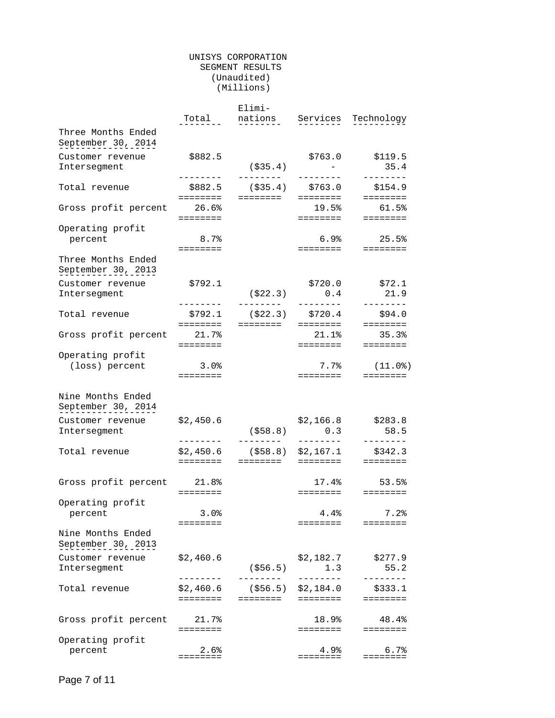#### UNISYS CORPORATION SEGMENT RESULTS (Unaudited) (Millions)

|                                          | Total                                                                            | Elimi-<br>nations                  | Services                                    | Technology                                                                       |
|------------------------------------------|----------------------------------------------------------------------------------|------------------------------------|---------------------------------------------|----------------------------------------------------------------------------------|
| Three Months Ended<br>September 30, 2014 |                                                                                  |                                    |                                             |                                                                                  |
| Customer revenue<br>Intersegment         | \$882.5                                                                          | ( \$35.4)                          | \$763.0                                     | \$119.5<br>35.4<br>--------                                                      |
| Total revenue                            | \$882.5<br><b>EEEEEEEE</b>                                                       | ( \$35.4)<br>========              | \$763.0<br>========                         | \$154.9<br><b>EEEEEEEE</b>                                                       |
| Gross profit percent                     | 26.6%<br>$\qquad \qquad \equiv \equiv \equiv \equiv \equiv \equiv \equiv \equiv$ |                                    | 19.5%<br>========                           | 61.5%<br>========                                                                |
| Operating profit<br>percent              | 8.7%<br>========                                                                 |                                    | 6.9%<br>========                            | 25.5%<br>$\qquad \qquad \equiv \equiv \equiv \equiv \equiv \equiv \equiv \equiv$ |
| Three Months Ended<br>September 30, 2013 |                                                                                  |                                    |                                             |                                                                                  |
| Customer revenue<br>Intersegment         | \$792.1                                                                          | ( \$22.3)                          | \$720.0<br>0.4                              | \$72.1<br>21.9<br>$- - - - - - - -$                                              |
| Total revenue                            | --------<br>\$792.1<br>========                                                  | ---------<br>( \$22.3)<br>======== | \$720.4<br>========                         | \$94.0<br>========                                                               |
| Gross profit percent                     | 21.7%<br>========                                                                |                                    | 21.1%<br>========                           | 35.3%<br>========                                                                |
| Operating profit<br>(loss) percent       | 3.0%<br>$= = = = = = = = =$                                                      |                                    | 7.7%<br>$=$ = = = = = = =                   | (11.0)<br>========                                                               |
| Nine Months Ended<br>September 30, 2014  |                                                                                  |                                    |                                             |                                                                                  |
| Customer revenue<br>Intersegment         | \$2,450.6                                                                        | ( \$58.8)                          | \$2,166.8<br>0.3                            | \$283.8<br>58.5                                                                  |
| Total revenue                            | --------<br>\$2,450.6<br><b>EEEEEEEE</b>                                         | --------<br>(558.8)<br>========    | ---------<br>\$2,167.1<br>$=$ = = = = = = = | --------<br>\$342.3<br><b>EEEEEEEE</b>                                           |
| Gross profit percent                     | 21.8%<br>$=$ = = = = = = =                                                       |                                    | 17.4%<br>========                           | 53.5%<br>$=$                                                                     |
| Operating profit<br>percent              | 3.0%<br>========                                                                 |                                    | $4.4\%$<br>========                         | 7.2%<br>========                                                                 |
| Nine Months Ended<br>September 30, 2013  |                                                                                  |                                    |                                             |                                                                                  |
| Customer revenue<br>Intersegment         | \$2,460.6<br>------                                                              | ( \$56.5)                          | \$2,182.7<br>1.3                            | \$277.9<br>55.2                                                                  |
| Total revenue                            | \$2,460.6<br>$=$ $=$ $=$ $=$ $=$ $=$ $=$                                         | ( \$56.5)<br>========              | \$2,184.0<br>========                       | \$333.1<br>========                                                              |
| Gross profit percent                     | 21.7%<br>$\qquad \qquad \equiv \equiv \equiv \equiv \equiv \equiv \equiv \equiv$ |                                    | 18.9%<br>========                           | 48.4%<br>========                                                                |
| Operating profit<br>percent              | 2.6%<br>========                                                                 |                                    | 4.9%<br>========                            | 6.7%<br>========                                                                 |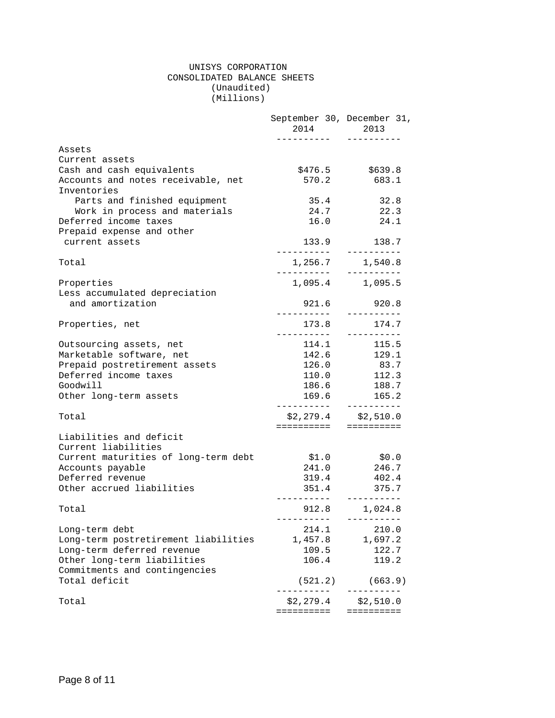#### UNISYS CORPORATION CONSOLIDATED BALANCE SHEETS (Unaudited) (Millions)

|                                      | 2014                    | September 30, December 31,<br>2013 |
|--------------------------------------|-------------------------|------------------------------------|
| Assets                               |                         |                                    |
| Current assets                       |                         |                                    |
| Cash and cash equivalents            | \$476.5                 | \$639.8                            |
| Accounts and notes receivable, net   | 570.2                   | 683.1                              |
| Inventories                          |                         |                                    |
| Parts and finished equipment         | 35.4                    | 32.8                               |
| Work in process and materials        |                         | 24.7 22.3                          |
| Deferred income taxes                | 16.0                    | 24.1                               |
| Prepaid expense and other            |                         |                                    |
| current assets                       | 133.9<br>-----------    | 138.7<br>----------                |
| Total                                |                         | $1,256.7$ $1,540.8$                |
| Properties                           | __________              | -----------<br>1,095.4 1,095.5     |
| Less accumulated depreciation        |                         |                                    |
| and amortization                     | 921.6                   | 920.8<br>$- - - - - -$             |
| Properties, net                      | 173.8                   | 174.7                              |
| Outsourcing assets, net              | 114.1                   | 115.5                              |
| Marketable software, net             |                         | 142.6 129.1                        |
| Prepaid postretirement assets        | 126.0                   | 83.7                               |
| Deferred income taxes                | 110.0                   | 112.3                              |
| Goodwill                             | 186.6                   | 188.7                              |
| Other long-term assets               | . <u>.</u>              | 169.6 165.2<br>----------          |
| Total                                |                         | $$2,279.4$ $$2,510.0$              |
| Liabilities and deficit              | ==========  ==========  |                                    |
| Current liabilities                  |                         |                                    |
| Current maturities of long-term debt | \$1.0<br>241.0          | \$0.0<br>246.7                     |
| Accounts payable<br>Deferred revenue | 319.4                   | 402.4                              |
| Other accrued liabilities            | 351.4                   | 375.7                              |
|                                      |                         |                                    |
| Total                                |                         | 912.8 1,024.8                      |
| Long-term debt                       | 214.1                   | 210.0                              |
| Long-term postretirement liabilities | 1,457.8                 | 1,697.2                            |
| Long-term deferred revenue           | 109.5                   | 122.7                              |
| Other long-term liabilities          | 106.4                   | 119.2                              |
| Commitments and contingencies        |                         |                                    |
| Total deficit                        | (521.2)<br>. <u>.</u> . | (663.9)<br>-----------             |
| Total                                | \$2,279.4               | \$2,510.0                          |
|                                      | ==========              | ==========                         |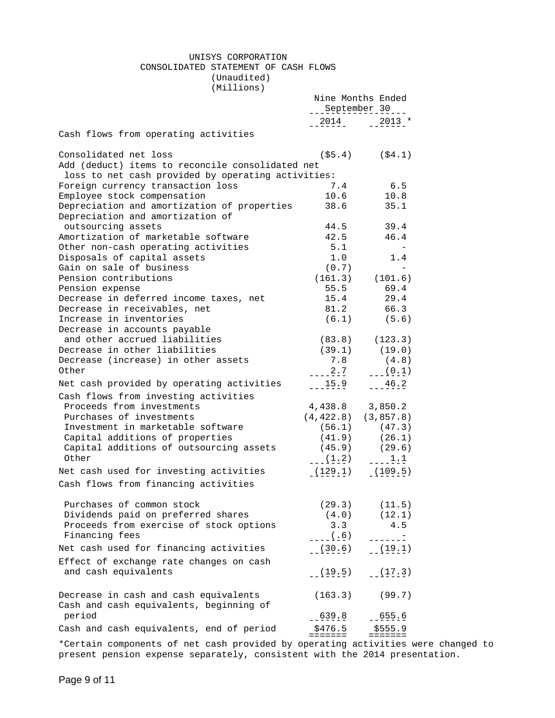#### UNISYS CORPORATION CONSOLIDATED STATEMENT OF CASH FLOWS (Unaudited)

(Millions)

|                                                                  | Nine Months Ended |                           |  |
|------------------------------------------------------------------|-------------------|---------------------------|--|
|                                                                  | September 30      |                           |  |
|                                                                  | $-2014$           | $2013 *$                  |  |
| Cash flows from operating activities                             |                   |                           |  |
| Consolidated net loss                                            |                   | $(55.4)$ $(54.1)$         |  |
| Add (deduct) items to reconcile consolidated net                 |                   |                           |  |
| loss to net cash provided by operating activities:               |                   |                           |  |
| Foreign currency transaction loss                                | 7.4               | 6.5                       |  |
| Employee stock compensation                                      | 10.6              | 10.8                      |  |
| Depreciation and amortization of properties                      | 38.6              | 35.1                      |  |
| Depreciation and amortization of<br>outsourcing assets           | 44.5              | 39.4                      |  |
| Amortization of marketable software                              | 42.5              | 46.4                      |  |
| Other non-cash operating activities                              | 5.1               |                           |  |
| Disposals of capital assets                                      | 1.0               | 1.4                       |  |
| Gain on sale of business                                         | (0.7)             |                           |  |
| Pension contributions                                            | (161.3)           | (101.6)                   |  |
| Pension expense                                                  | 55.5              | 69.4                      |  |
| Decrease in deferred income taxes, net                           | 15.4              | 29.4                      |  |
| Decrease in receivables, net                                     | 81.2              | 66.3                      |  |
| Increase in inventories                                          | (6.1)             | (5.6)                     |  |
| Decrease in accounts payable                                     |                   |                           |  |
| and other accrued liabilities                                    |                   | $(83.8)$ $(123.3)$        |  |
| Decrease in other liabilities                                    |                   | $(39.1)$ $(19.0)$         |  |
| Decrease (increase) in other assets                              | 7.8               | (4.8)                     |  |
| Other                                                            | $---2:7$          | $---(0.1)$                |  |
| Net cash provided by operating activities                        | 15.9              | $-46.2$                   |  |
| Cash flows from investing activities                             |                   |                           |  |
| Proceeds from investments                                        |                   | 4,438.8 3,850.2           |  |
| Purchases of investments                                         |                   | $(4, 422.8)$ $(3, 857.8)$ |  |
| Investment in marketable software                                |                   | $(56.1)$ $(47.3)$         |  |
| Capital additions of properties                                  |                   | $(41.9)$ $(26.1)$         |  |
| Capital additions of outsourcing assets                          |                   | $(45.9)$ $(29.6)$         |  |
| Other                                                            |                   | $-(-1.2)$ $-2.1$          |  |
|                                                                  |                   |                           |  |
| Net cash used for investing activities                           |                   | $(129.1)$ $(109.5)$       |  |
| Cash flows from financing activities                             |                   |                           |  |
| Purchases of common stock                                        | (29.3)            | (11.5)                    |  |
| Dividends paid on preferred shares                               | (4.0)             | (12.1)                    |  |
| Proceeds from exercise of stock options                          | 3.3               | 4.5                       |  |
| Financing fees                                                   | $-(-6)$           |                           |  |
| Net cash used for financing activities                           | $(-180.6)$        | $-(-19.1)$                |  |
| Effect of exchange rate changes on cash                          |                   |                           |  |
| and cash equivalents                                             | $-(-19.5)$        |                           |  |
|                                                                  |                   | $-(-17.3)$                |  |
| Decrease in cash and cash equivalents                            | (163.3)           | (99.7)                    |  |
| Cash and cash equivalents, beginning of                          |                   |                           |  |
| period                                                           | $-639.8$          | $-655.6$                  |  |
| Cash and cash equivalents, end of period                         | \$476.5           | \$555.9                   |  |
| *Cortain components of not sash provided by operating astivities |                   |                           |  |

\*Certain components of net cash provided by operating activities were changed to present pension expense separately, consistent with the 2014 presentation.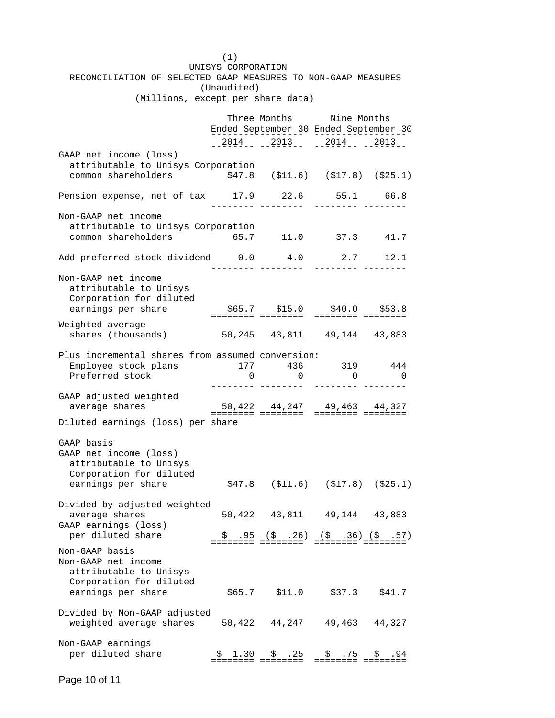(1) UNISYS CORPORATION RECONCILIATION OF SELECTED GAAP MEASURES TO NON-GAAP MEASURES (Unaudited) (Millions, except per share data) Three Months Nine Months Ended September 30 Ended September 30  $-2014$   $-2013$   $-2013$   $-2014$   $-2013$ GAAP net income (loss) attributable to Unisys Corporation common shareholders \$47.8 (\$11.6) (\$17.8) (\$25.1) Pension expense, net of tax 17.9 22.6 55.1 66.8 -------- -------- -------- -------- Non-GAAP net income attributable to Unisys Corporation common shareholders 65.7 11.0 37.3 41.7 Add preferred stock dividend 0.0 4.0 2.7 12.1 -------- -------- -------- -------- Non-GAAP net income attributable to Unisys Corporation for diluted<br>earnings per share earnings per share \$65.7 \$15.0 \$40.0 \$53.8 ======== ======== ======== ======== Weighted average shares (thousands) 50,245 43,811 49,144 43,883 Plus incremental shares from assumed conversion: Employee stock plans  $177$  436 319 444<br>Preferred stock 0 0 0 0 Preferred stock  $0$  0 0 0 0 .<u>------- --------- -------- -------</u> GAAP adjusted weighted average shares 50,422 44,247 49,463 44,327 ======== ======== ======== ======== Diluted earnings (loss) per share GAAP basis GAAP net income (loss) attributable to Unisys Corporation for diluted earnings per share  $$47.8$  (\$11.6) (\$17.8) (\$25.1) Divided by adjusted weighted average shares 50,422 43,811 49,144 43,883 GAAP earnings (loss) per diluted share \$ .95 (\$ .26) (\$ .36) (\$ .57) ======== ======== ======== ======== Non-GAAP basis Non-GAAP net income attributable to Unisys Corporation for diluted earnings per share  $$65.7$  \$11.0 \$37.3 \$41.7 Divided by Non-GAAP adjusted weighted average shares 50,422 44,247 49,463 44,327 Non-GAAP earnings per diluted share \$ 1.30 \$ .25 \$ .75 \$ .94 ======== ======== ======== ========